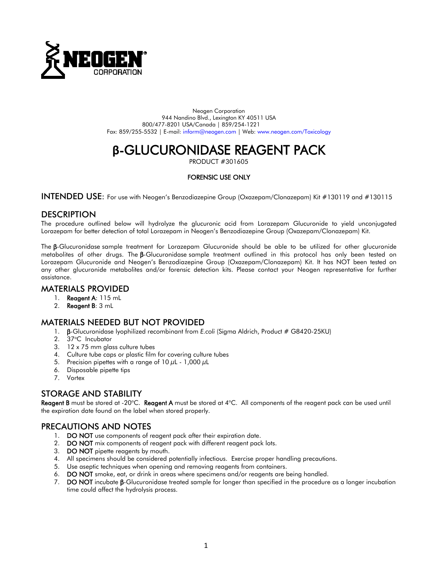

Neogen Corporation 944 Nandino Blvd., Lexington KY 40511 USA 800/477-8201 USA/Canada | 859/254-1221 Fax: 859/255-5532 | E-mail: inform@neogen.com | Web: [www.neogen.com/Toxicology](http://www.neogen.com/Toxicology)

# **β-GLUCURONIDASE REAGENT PACK**<br>PRODUCT #301605

#### FORENSIC USE ONLY

INTENDED USE: For use with Neogen's Benzodiazepine Group (Oxazepam/Clonazepam) Kit #130119 and #130115

### **DESCRIPTION**

The procedure outlined below will hydrolyze the glucuronic acid from Lorazepam Glucuronide to yield unconjugated Lorazepam for better detection of total Lorazepam in Neogen's Benzodiazepine Group (Oxazepam/Clonazepam) Kit.

The β-Glucuronidase sample treatment for Lorazepam Glucuronide should be able to be utilized for other glucuronide metabolites of other drugs. The β-Glucuronidase sample treatment outlined in this protocol has only been tested on Lorazepam Glucuronide and Neogen's Benzodiazepine Group (Oxazepam/Clonazepam) Kit. It has NOT been tested on any other glucuronide metabolites and/or forensic detection kits. Please contact your Neogen representative for further assistance.

## MATERIALS PROVIDED

- 1. Reagent A: 115 mL
- 2. Reagent B: 3 mL

## MATERIALS NEEDED BUT NOT PROVIDED

- 1. β-Glucuronidase lyophilized recombinant from *E.coli* (Sigma Aldrich, Product # G8420-25KU)
- 2. 37°C Incubator
- 3. 12 x 75 mm glass culture tubes
- 4. Culture tube caps or plastic film for covering culture tubes
- 5. Precision pipettes with a range of 10  $\mu$ L 1,000  $\mu$ L
- 6. Disposable pipette tips
- 7. Vortex

## STORAGE AND STABILITY

Reagent B must be stored at -20°C. Reagent A must be stored at 4°C. All components of the reagent pack can be used until the expiration date found on the label when stored properly.

## PRECAUTIONS AND NOTES

- 1. DO NOT use components of reagent pack after their expiration date.
- 2. DO NOT mix components of reagent pack with different reagent pack lots.
- 3. DO NOT pipette reagents by mouth.
- 4. All specimens should be considered potentially infectious. Exercise proper handling precautions.
- 5. Use aseptic techniques when opening and removing reagents from containers.
- 6. DO NOT smoke, eat, or drink in areas where specimens and/or reagents are being handled.
- 7. DO NOT incubate β-Glucuronidase treated sample for longer than specified in the procedure as a longer incubation time could affect the hydrolysis process.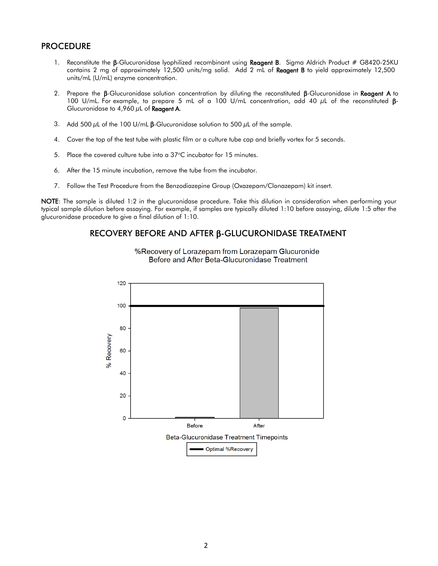## **PROCEDURE**

- 1. Reconstitute the β-Glucuronidase lyophilized recombinant using Reagent B. Sigma Aldrich Product # G8420-25KU contains 2 mg of approximately 12,500 units/mg solid. Add 2 mL of Reagent B to yield approximately 12,500 units/mL (U/mL) enzyme concentration.
- 2. Prepare the β-Glucuronidase solution concentration by diluting the reconstituted β-Glucuronidase in Reagent A to 100 U/mL. For example, to prepare 5 mL of a 100 U/mL concentration, add 40 µL of the reconstituted β-Glucuronidase to 4,960  $\mu$ L of Reagent A.
- 3. Add 500  $\mu$ L of the 100 U/mL  $\beta$ -Glucuronidase solution to 500  $\mu$ L of the sample.
- 4. Cover the top of the test tube with plastic film or a culture tube cap and briefly vortex for 5 seconds.
- 5. Place the covered culture tube into a 37°C incubator for 15 minutes.
- 6. After the 15 minute incubation, remove the tube from the incubator.
- 7. Follow the Test Procedure from the Benzodiazepine Group (Oxazepam/Clonazepam) kit insert.

NOTE: The sample is diluted 1:2 in the glucuronidase procedure. Take this dilution in consideration when performing your typical sample dilution before assaying. For example, if samples are typically diluted 1:10 before assaying, dilute 1:5 after the glucuronidase procedure to give a final dilution of 1:10.

### RECOVERY BEFORE AND AFTER β-GLUCURONIDASE TREATMENT



%Recovery of Lorazepam from Lorazepam Glucuronide Before and After Beta-Glucuronidase Treatment